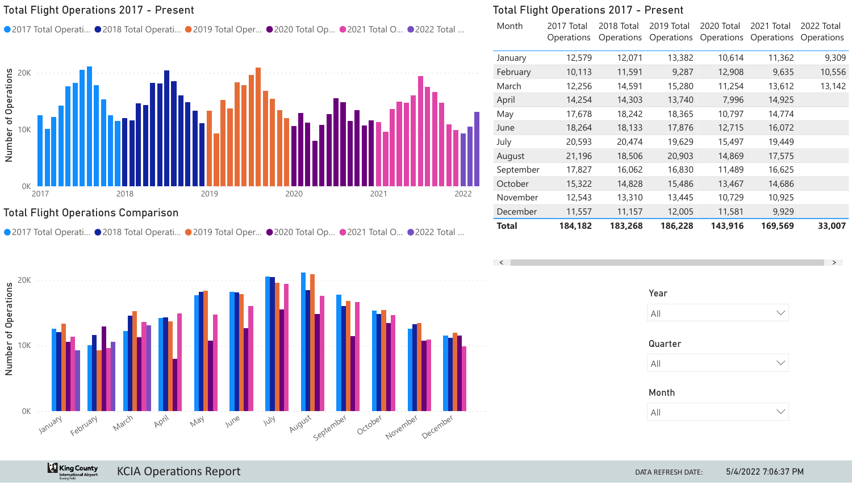# Total Flight Operations Comparison

**King County** 



**KCIA Operations Report** DATA REFRESH DATE:



|                                                                           |           | <b>Total Flight Operations 2017 - Present</b> |                                 |                          |                                 |                                 |                                 |
|---------------------------------------------------------------------------|-----------|-----------------------------------------------|---------------------------------|--------------------------|---------------------------------|---------------------------------|---------------------------------|
| ● 2022 Total                                                              | Month     | 2017 Total<br><b>Operations</b>               | 2018 Total<br><b>Operations</b> | 2019 Total<br>Operations | 2020 Total<br><b>Operations</b> | 2021 Total<br><b>Operations</b> | 2022 Total<br><b>Operations</b> |
|                                                                           | January   | 12,579                                        | 12,071                          | 13,382                   | 10,614                          | 11,362                          | 9,309                           |
|                                                                           | February  | 10,113                                        | 11,591                          | 9,287                    | 12,908                          | 9,635                           | 10,556                          |
|                                                                           | March     | 12,256                                        | 14,591                          | 15,280                   | 11,254                          | 13,612                          | 13,142                          |
|                                                                           | April     | 14,254                                        | 14,303                          | 13,740                   | 7,996                           | 14,925                          |                                 |
|                                                                           | May       | 17,678                                        | 18,242                          | 18,365                   | 10,797                          | 14,774                          |                                 |
| 2022                                                                      | June      | 18,264                                        | 18,133                          | 17,876                   | 12,715                          | 16,072                          |                                 |
|                                                                           | July      | 20,593                                        | 20,474                          | 19,629                   | 15,497                          | 19,449                          |                                 |
|                                                                           | August    | 21,196                                        | 18,506                          | 20,903                   | 14,869                          | 17,575                          |                                 |
|                                                                           | September | 17,827                                        | 16,062                          | 16,830                   | 11,489                          | 16,625                          |                                 |
|                                                                           | October   | 15,322                                        | 14,828                          | 15,486                   | 13,467                          | 14,686                          |                                 |
|                                                                           | November  | 12,543                                        | 13,310                          | 13,445                   | 10,729                          | 10,925                          |                                 |
|                                                                           | December  | 11,557                                        | 11,157                          | 12,005                   | 11,581                          | 9,929                           |                                 |
| $\bullet \bullet \bullet \bullet \bullet \bullet \bullet \bullet \bullet$ | Total     | 184,182                                       | 183,268                         | 186,228                  | 143,916                         | 169,569                         | 33,007                          |



 $\rightarrow$ 



# Total Flight Operations 2017 - Present

● 2017 Total Operati... ● 2018 Total Operati... ● 2019 Total Oper... ● 2020 Total Op... ● 2021 Total O..



| Year         |  |
|--------------|--|
| All          |  |
| Quarter      |  |
| All          |  |
| <b>Month</b> |  |
| ΔII          |  |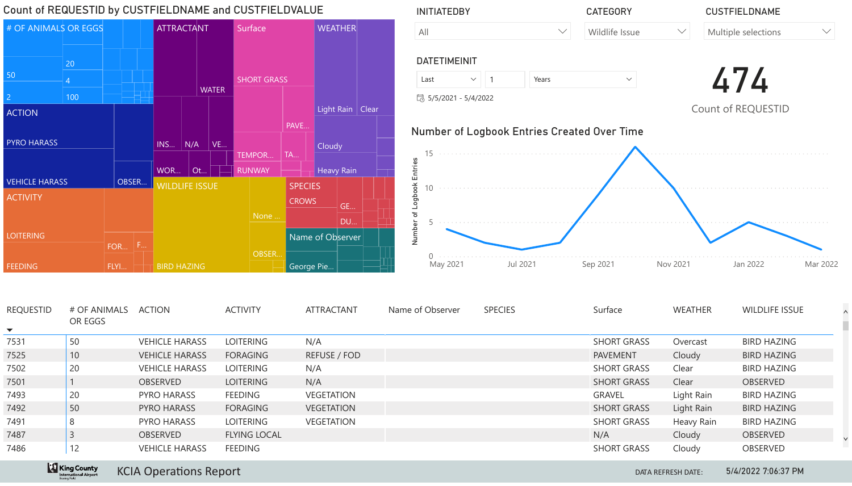# DUALLE AND CUCTFIELDVALUE



| Count of REQUESTID by CUSTFIELDNAME and CUSTFIELDVALUE |                         |          |                               | <b>INITIATEDBY</b>                          |                         |                                                            |                        |                | <b>CUSTFIELDNAME</b> |                                                    |                    |                               |
|--------------------------------------------------------|-------------------------|----------|-------------------------------|---------------------------------------------|-------------------------|------------------------------------------------------------|------------------------|----------------|----------------------|----------------------------------------------------|--------------------|-------------------------------|
| # OF ANIMALS OR EGGS                                   |                         |          | <b>ATTRACTANT</b>             |                                             | Surface                 | <b>WEATHER</b>                                             | All                    |                | $\vee$               | <b>Wildlife Issue</b>                              | $\vee$             | Multiple selections<br>$\vee$ |
|                                                        | 20                      |          |                               |                                             |                         |                                                            | <b>DATETIMEINIT</b>    |                |                      |                                                    |                    |                               |
| 50                                                     |                         |          |                               |                                             | <b>SHORT GRASS</b>      |                                                            | Last                   | $\vee$ 1       | Years                | $\vee$                                             |                    |                               |
|                                                        | 100                     |          |                               | <b>WATER</b>                                |                         |                                                            | 13 5/5/2021 - 5/4/2022 |                |                      |                                                    |                    |                               |
| <b>ACTION</b>                                          |                         |          |                               |                                             |                         | Light Rain   Clear                                         |                        |                |                      |                                                    |                    | Count of REQUESTID            |
| <b>PYRO HARASS</b><br><b>VEHICLE HARASS</b>            |                         | OBSER    | INS<br>WOR                    | $\mid N/A \mid$<br>$\vert$ VE<br>$\vert$ Ot | TEMPOR<br><b>RUNWAY</b> | PAVE<br>  Cloudy<br><b>TA</b><br><b>Heavy Rain</b>         | ш                      |                |                      | <b>Number of Logbook Entries Created Over Time</b> |                    |                               |
| <b>ACTIVITY</b>                                        |                         |          |                               | <b>WILDLIFE ISSUE</b>                       |                         | SPECIES                                                    |                        |                |                      |                                                    |                    |                               |
| <b>LOITERING</b>                                       |                         | F<br>FOR |                               |                                             | None                    | <b>CROWS</b><br><b>GE</b><br><b>DU</b><br>Name of Observer | $\vec{z}$              |                |                      |                                                    |                    |                               |
| <b>FEEDING</b>                                         |                         | FLYI     | <b>BIRD HAZING</b>            |                                             | OBSER                   | George Pie                                                 | May 2021               |                | Jul 2021             | Sep 2021                                           | Nov 2021           | Mar 2022<br>Jan 2022          |
| <b>REQUESTID</b><br>$\blacktriangledown$               | # OF ANIMALS<br>OR EGGS |          | <b>ACTION</b>                 |                                             | <b>ACTIVITY</b>         | <b>ATTRACTANT</b>                                          | Name of Observer       | <b>SPECIES</b> |                      | Surface                                            | <b>WEATHER</b>     | <b>WILDLIFE ISSUE</b>         |
| 7531                                                   | 50                      |          | <b>VEHICLE HARASS</b>         |                                             | <b>LOITERING</b>        | N/A                                                        |                        |                |                      | <b>SHORT GRASS</b>                                 | Overcast           | <b>BIRD HAZING</b>            |
| 7525                                                   | 10                      |          | <b>VEHICLE HARASS</b>         |                                             | FORAGING                | <b>REFUSE / FOD</b>                                        |                        |                |                      | <b>PAVEMENT</b>                                    | Cloudy             | <b>BIRD HAZING</b>            |
| 7502                                                   | 20                      |          | <b>VEHICLE HARASS</b>         |                                             | LOITERING               | N/A                                                        |                        |                |                      | <b>SHORT GRASS</b>                                 | Clear              | <b>BIRD HAZING</b>            |
| 7501                                                   |                         |          | <b>OBSERVED</b>               |                                             | LOITERING               | N/A                                                        |                        |                |                      | <b>SHORT GRASS</b>                                 | Clear              | OBSERVED                      |
| 7493                                                   | 20                      |          | <b>PYRO HARASS</b>            |                                             | <b>FEEDING</b>          | <b>VEGETATION</b>                                          |                        |                |                      | <b>GRAVEL</b>                                      | Light Rain         | <b>BIRD HAZING</b>            |
| 7492                                                   | 50                      |          | PYRO HARASS                   |                                             | <b>FORAGING</b>         | <b>VEGETATION</b>                                          |                        |                |                      | <b>SHORT GRASS</b>                                 | Light Rain         | <b>BIRD HAZING</b>            |
| 7491                                                   | 8                       |          | <b>PYRO HARASS</b>            |                                             | LOITERING               | <b>VEGETATION</b>                                          |                        |                |                      | <b>SHORT GRASS</b>                                 | <b>Heavy Rain</b>  | <b>BIRD HAZING</b>            |
| 7487                                                   |                         |          | OBSERVED                      |                                             | <b>FLYING LOCAL</b>     |                                                            |                        |                |                      | N/A                                                | Cloudy             | OBSERVED                      |
| 7486                                                   | 12                      |          | <b>VEHICLE HARASS</b>         |                                             | <b>FEEDING</b>          |                                                            |                        |                |                      | <b>SHORT GRASS</b>                                 | Cloudy             | <b>OBSERVED</b>               |
|                                                        | <b>King County</b>      |          | <b>KCIA Operations Report</b> |                                             |                         |                                                            |                        |                |                      |                                                    | DATA REFRESH DATE: | 5/4/2022 7:06:37 PM           |



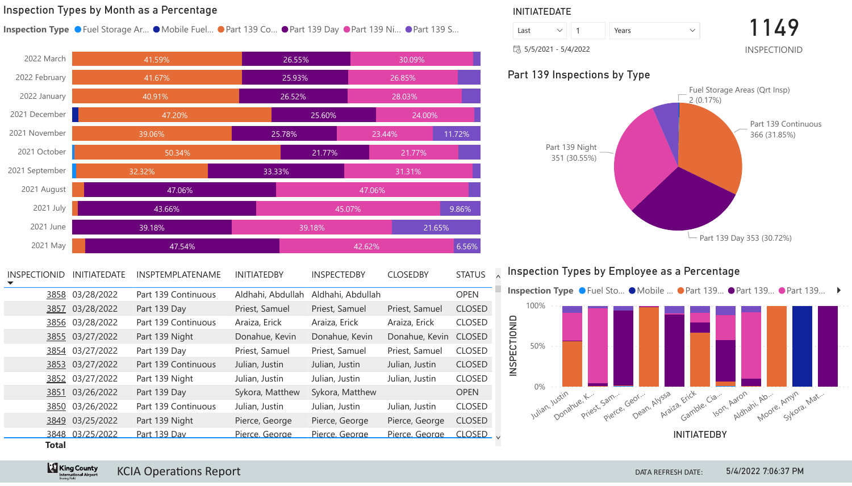

**Example 2 King County** 

## Inspection Types by Month as a Percentage



| <b>INSPECTIONID</b> | <b>INITIATEDATE</b> | <b>INSPTEMPLATENAME</b> | <b>INITIATEDBY</b> | <b>INSPECTEDBY</b> | <b>CLOSEDBY</b> | <b>STATUS</b> |  |
|---------------------|---------------------|-------------------------|--------------------|--------------------|-----------------|---------------|--|
| 3858                | 03/28/2022          | Part 139 Continuous     | Aldhahi, Abdullah  | Aldhahi, Abdullah  |                 | <b>OPEN</b>   |  |
| <u>3857</u>         | 03/28/2022          | Part 139 Day            | Priest, Samuel     | Priest, Samuel     | Priest, Samuel  | <b>CLOSED</b> |  |
| <u>3856</u>         | 03/28/2022          | Part 139 Continuous     | Araiza, Erick      | Araiza, Erick      | Araiza, Erick   | <b>CLOSED</b> |  |
|                     | 3855 03/27/2022     | Part 139 Night          | Donahue, Kevin     | Donahue, Kevin     | Donahue, Kevin  | <b>CLOSED</b> |  |
|                     | 3854 03/27/2022     | Part 139 Day            | Priest, Samuel     | Priest, Samuel     | Priest, Samuel  | <b>CLOSED</b> |  |
| 3853                | 03/27/2022          | Part 139 Continuous     | Julian, Justin     | Julian, Justin     | Julian, Justin  | <b>CLOSED</b> |  |
| <u>3852</u>         | 03/27/2022          | Part 139 Night          | Julian, Justin     | Julian, Justin     | Julian, Justin  | <b>CLOSED</b> |  |
| <u>3851</u>         | 03/26/2022          | Part 139 Day            | Sykora, Matthew    | Sykora, Matthew    |                 | <b>OPEN</b>   |  |
| 3850                | 03/26/2022          | Part 139 Continuous     | Julian, Justin     | Julian, Justin     | Julian, Justin  | <b>CLOSED</b> |  |
|                     | 3849 03/25/2022     | Part 139 Night          | Pierce, George     | Pierce, George     | Pierce, George  | <b>CLOSED</b> |  |
|                     | 3848 03/25/2022     | Part 139 Day            | Pierce, George     | Pierce, George     | Pierce, George  | CLOSED V      |  |
| <b>Total</b>        |                     |                         |                    |                    |                 |               |  |

# Inspection Types by Employee as a Percentage